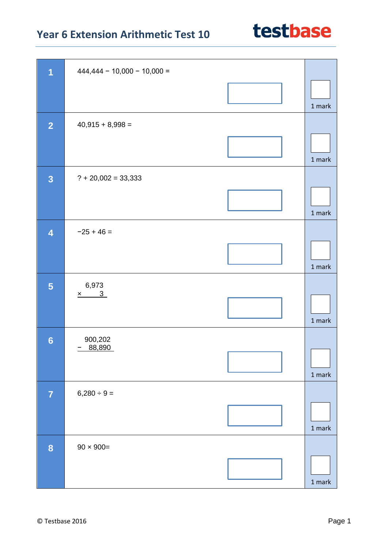

| 1                       | $444,444 - 10,000 - 10,000 =$ |        |
|-------------------------|-------------------------------|--------|
|                         |                               | 1 mark |
| $\overline{2}$          | $40,915 + 8,998 =$            |        |
|                         |                               | 1 mark |
| $\overline{\mathbf{3}}$ | $? + 20,002 = 33,333$         |        |
|                         |                               | 1 mark |
| $\overline{\mathbf{4}}$ | $-25 + 46 =$                  |        |
|                         |                               | 1 mark |
| 5                       | 6,973<br>$x \t 3$             |        |
|                         |                               | 1 mark |
| $6\phantom{1}$          | 900,202                       |        |
|                         | 88,890                        | 1 mark |
| $\overline{7}$          | $6,280 \div 9 =$              |        |
|                         |                               | 1 mark |
| $\boldsymbol{8}$        | $90 \times 900 =$             |        |
|                         |                               | 1 mark |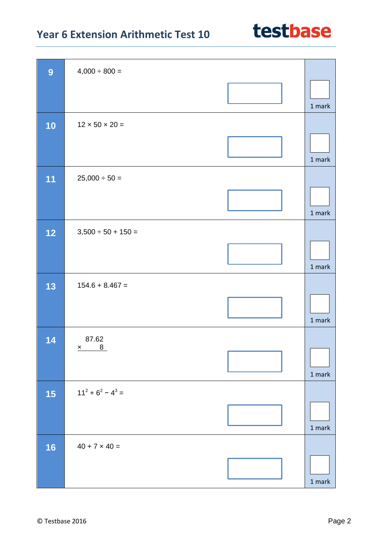| 9  | $4,000 \div 800 =$         |          |
|----|----------------------------|----------|
|    |                            | 1 mark   |
| 10 | $12 \times 50 \times 20 =$ |          |
|    |                            | 1 mark   |
| 11 | $25,000 \div 50 =$         |          |
|    |                            | $1$ mark |
| 12 | $3,500 \div 50 + 150 =$    |          |
|    |                            | 1 mark   |
| 13 | $154.6 + 8.467 =$          |          |
|    |                            | 1 mark   |
| 14 | 87.62<br>$x$ 8             |          |
|    |                            | 1 mark   |
| 15 | $11^2 + 6^2 - 4^3 =$       |          |
|    |                            | 1 mark   |
| 16 | $40 + 7 \times 40 =$       |          |
|    |                            | $1$ mark |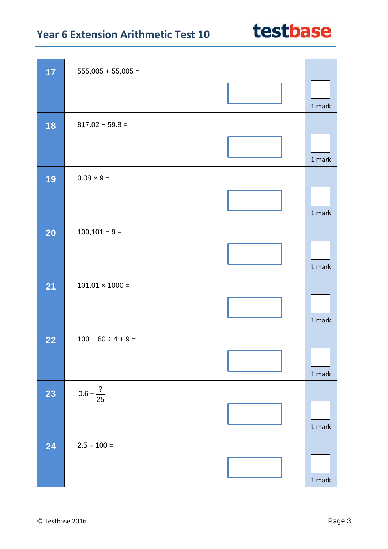| 17        | $555,005 + 55,005 =$    |          |
|-----------|-------------------------|----------|
|           |                         | 1 mark   |
| 18        | $817.02 - 59.8 =$       |          |
|           |                         | 1 mark   |
| 19        | $0.08 \times 9 =$       |          |
|           |                         | 1 mark   |
| <b>20</b> | $100, 101 - 9 =$        |          |
|           |                         | 1 mark   |
| 21        | $101.01 \times 1000 =$  |          |
|           |                         | 1 mark   |
| 22        | $100 - 60 \div 4 + 9 =$ |          |
|           |                         | 1 mark   |
| 23        | $0.6 = \frac{?}{25}$    |          |
|           |                         | $1$ mark |
| 24        | $2.5 \div 100 =$        |          |
|           |                         | $1$ mark |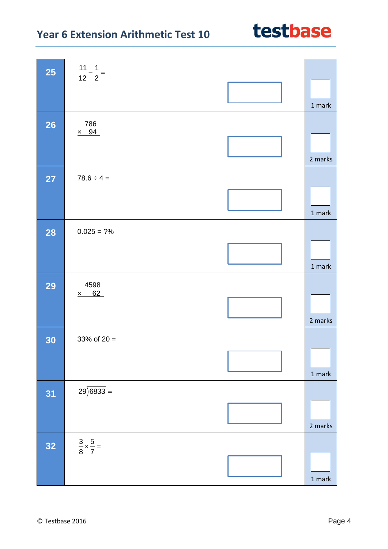| <b>25</b> | $\frac{11}{12} - \frac{1}{2} =$    |                                   |
|-----------|------------------------------------|-----------------------------------|
|           |                                    | 1 mark                            |
| <b>26</b> | 786                                |                                   |
|           | $\times$ 94                        | 2 marks                           |
| <b>27</b> | $78.6 \div 4 =$                    |                                   |
|           |                                    | $1$ mark                          |
| <b>28</b> | $0.025 = ?%$                       |                                   |
|           |                                    | 1 mark                            |
| <b>29</b> | 4598                               |                                   |
|           | 62<br>$\underline{x}$              | 2 marks                           |
| 30        | 33% of $20 =$                      |                                   |
|           |                                    | $1$ mark                          |
| 31        | $29\overline{\smash{)}6833}$ =     |                                   |
|           |                                    | 2 marks                           |
| 32        | $\frac{3}{8} \times \frac{5}{7} =$ |                                   |
|           |                                    | $1 \ensuremath{\, \mathrm{mark}}$ |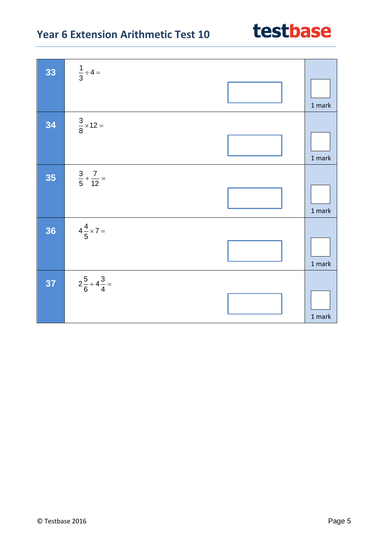| 33 | $\frac{1}{3} \div 4 =$         |        |
|----|--------------------------------|--------|
|    |                                |        |
|    |                                | 1 mark |
| 34 | $\frac{3}{8} \times 12 =$      |        |
|    |                                | 1 mark |
|    |                                |        |
| 35 | $\frac{3}{5} + \frac{7}{12} =$ |        |
|    |                                |        |
|    |                                | 1 mark |
| 36 | $4\frac{4}{5} \times 7 =$      |        |
|    |                                |        |
|    |                                |        |
|    |                                | 1 mark |
| 37 | $2\frac{5}{6}+4\frac{3}{4}=$   |        |
|    |                                |        |
|    |                                | 1 mark |
|    |                                |        |

 $\overline{\phantom{a}}$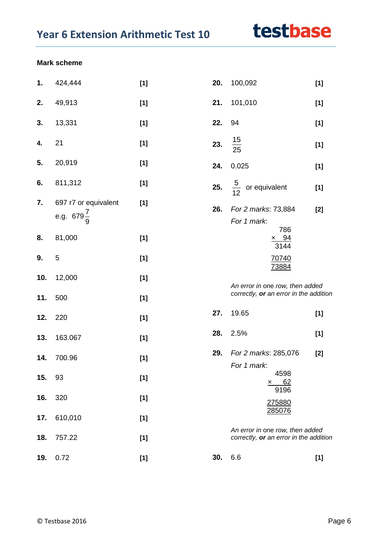#### **Mark scheme**

| 1.  | 424,444                                       | $[1]$ | 20. | 100,092                                                                   | $[1]$ |  |
|-----|-----------------------------------------------|-------|-----|---------------------------------------------------------------------------|-------|--|
| 2.  | 49,913                                        | $[1]$ | 21. | 101,010                                                                   | $[1]$ |  |
| 3.  | 13,331                                        | $[1]$ | 22. | 94                                                                        | $[1]$ |  |
| 4.  | 21                                            | $[1]$ | 23. | $\frac{15}{25}$                                                           | $[1]$ |  |
| 5.  | 20,919                                        | $[1]$ | 24. | 0.025                                                                     | $[1]$ |  |
| 6.  | 811,312                                       | $[1]$ | 25. | $\frac{5}{12}$ or equivalent                                              | $[1]$ |  |
| 7.  | 697 r7 or equivalent<br>e.g. $679\frac{7}{9}$ | $[1]$ | 26. | For 2 marks: 73,884<br>For 1 mark:                                        | $[2]$ |  |
| 8.  | 81,000                                        | $[1]$ |     | 786<br>$\frac{\times 94}{3144}$                                           |       |  |
| 9.  | 5                                             | $[1]$ |     | 70740<br>73884                                                            |       |  |
| 10. | 12,000                                        | $[1]$ |     | An error in one row, then added                                           |       |  |
| 11. | 500                                           | $[1]$ |     | correctly, or an error in the addition                                    |       |  |
| 12. | 220                                           | $[1]$ | 27. | 19.65                                                                     | $[1]$ |  |
| 13. | 163.067                                       | $[1]$ | 28. | 2.5%                                                                      | $[1]$ |  |
| 14. | 700.96                                        | $[1]$ | 29. | For 2 marks: 285,076<br>For 1 mark:                                       | $[2]$ |  |
| 15. | 93                                            | $[1]$ |     | 4598<br>$\times$ 62                                                       |       |  |
| 16. | 320                                           | $[1]$ |     | 9196<br>275880                                                            |       |  |
| 17. | 610,010                                       | $[1]$ |     | 285076                                                                    |       |  |
| 18. | 757.22                                        | $[1]$ |     | An error in one row, then added<br>correctly, or an error in the addition |       |  |
| 19. | 0.72                                          | [1]   | 30. | 6.6                                                                       | $[1]$ |  |